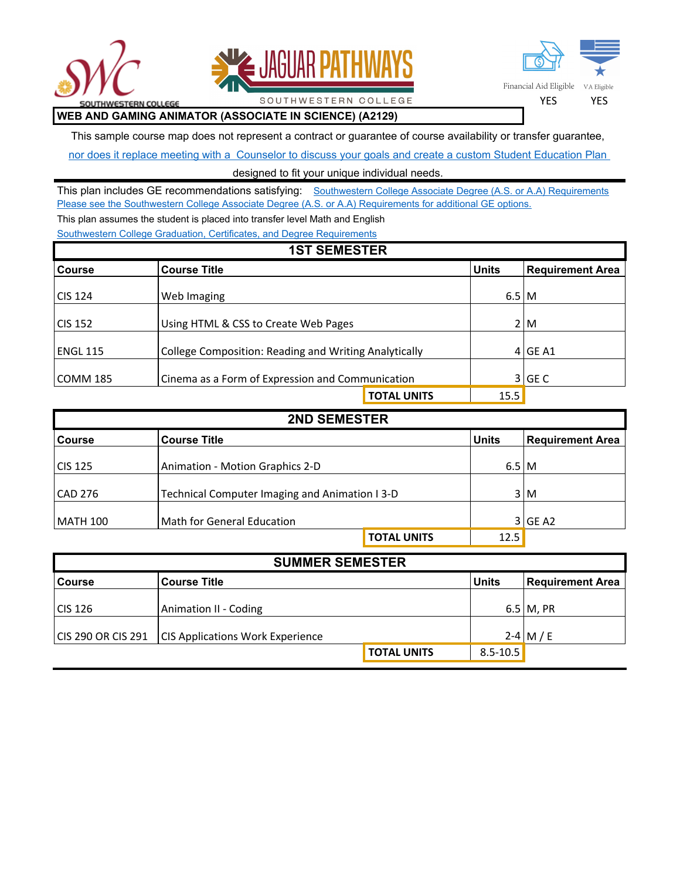





## **WEB AND GAMING ANIMATOR (ASSOCIATE IN SCIENCE) (A2129)**

This sample course map does not represent a contract or guarantee of course availability or transfer guarantee,

SOUTHWESTERN COLLEGE

nor does it replace meeting with a Counselor to discuss your goals and create a custom Student Education Plan

designed to fit your unique individual needs.

This plan includes GE recommendations satisfying: Southwestern College Associate Degree (A.S. or A.A) Requirements [Please see the Southwestern College Associate Degree \(A.S. or A.A\) Requirements for additional GE options.](http://catalog.swccd.edu/california-state-university-general-education-breadth-requirements/) This plan assumes the student is placed into transfer level Math and English

[Southwestern College Graduation, Certificates, and Degree Requirements](http://catalog.swccd.edu/certificates-certifications-degrees-csuuc-requirements/)

| <b>1ST SEMESTER</b> |                                                       |                    |                   |                         |  |
|---------------------|-------------------------------------------------------|--------------------|-------------------|-------------------------|--|
| <b>Course</b>       | <b>Course Title</b>                                   |                    | <b>Units</b>      | <b>Requirement Area</b> |  |
| l CIS 124           | Web Imaging                                           |                    | $6.5 \, \text{M}$ |                         |  |
| l CIS 152           | Using HTML & CSS to Create Web Pages                  |                    |                   | 2 M                     |  |
| <b>ENGL 115</b>     | College Composition: Reading and Writing Analytically |                    |                   | $4$ GE A1               |  |
| lCOMM 185           | Cinema as a Form of Expression and Communication      |                    |                   | $3$ GE C                |  |
|                     |                                                       | <b>TOTAL UNITS</b> | 15.5              |                         |  |

| <b>2ND SEMESTER</b> |                                                |                    |              |                         |
|---------------------|------------------------------------------------|--------------------|--------------|-------------------------|
| <b>Course</b>       | <b>Course Title</b>                            |                    | <b>Units</b> | <b>Requirement Area</b> |
| <b>CIS 125</b>      | Animation - Motion Graphics 2-D                |                    |              | $6.5 \, \text{M}$       |
| <b>CAD 276</b>      | Technical Computer Imaging and Animation I 3-D |                    |              | 3 M                     |
| <b>MATH 100</b>     | <b>Math for General Education</b>              |                    |              | 3 GE A2                 |
|                     |                                                | <b>TOTAL UNITS</b> | 12.5         |                         |

| <b>SUMMER SEMESTER</b> |                                         |              |                  |  |
|------------------------|-----------------------------------------|--------------|------------------|--|
| <b>Course</b>          | <b>Course Title</b>                     | <b>Units</b> | Requirement Area |  |
|                        |                                         |              |                  |  |
| CIS 126                | Animation II - Coding                   |              | $6.5$ M, PR      |  |
|                        |                                         |              |                  |  |
| CIS 290 OR CIS 291     | <b>CIS Applications Work Experience</b> |              | 2-4 M/E          |  |
|                        | <b>TOTAL UNITS</b>                      | $8.5 - 10.5$ |                  |  |